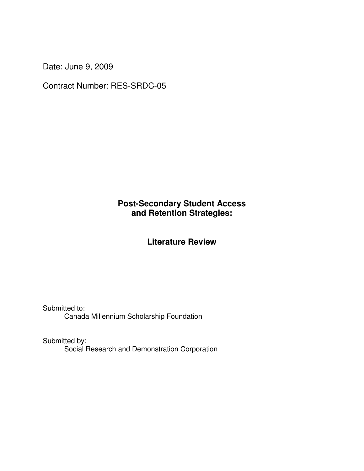Date: June 9, 2009

Contract Number: RES-SRDC-05

# **Post-Secondary Student Access and Retention Strategies:**

# **Literature Review**

Submitted to: Canada Millennium Scholarship Foundation

Submitted by: Social Research and Demonstration Corporation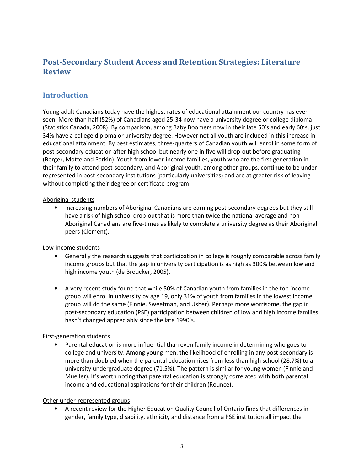# Post-Secondary Student Access and Retention Strategies: Literature Review

# Introduction

Young adult Canadians today have the highest rates of educational attainment our country has ever seen. More than half (52%) of Canadians aged 25-34 now have a university degree or college diploma (Statistics Canada, 2008). By comparison, among Baby Boomers now in their late 50's and early 60's, just 34% have a college diploma or university degree. However not all youth are included in this increase in educational attainment. By best estimates, three-quarters of Canadian youth will enrol in some form of post-secondary education after high school but nearly one in five will drop-out before graduating (Berger, Motte and Parkin). Youth from lower-income families, youth who are the first generation in their family to attend post-secondary, and Aboriginal youth, among other groups, continue to be underrepresented in post-secondary institutions (particularly universities) and are at greater risk of leaving without completing their degree or certificate program.

### Aboriginal students

• Increasing numbers of Aboriginal Canadians are earning post-secondary degrees but they still have a risk of high school drop-out that is more than twice the national average and non-Aboriginal Canadians are five-times as likely to complete a university degree as their Aboriginal peers (Clement).

### Low-income students

- Generally the research suggests that participation in college is roughly comparable across family income groups but that the gap in university participation is as high as 300% between low and high income youth (de Broucker, 2005).
- A very recent study found that while 50% of Canadian youth from families in the top income group will enrol in university by age 19, only 31% of youth from families in the lowest income group will do the same (Finnie, Sweetman, and Usher). Perhaps more worrisome, the gap in post-secondary education (PSE) participation between children of low and high income families hasn't changed appreciably since the late 1990's.

### First-generation students

• Parental education is more influential than even family income in determining who goes to college and university. Among young men, the likelihood of enrolling in any post-secondary is more than doubled when the parental education rises from less than high school (28.7%) to a university undergraduate degree (71.5%). The pattern is similar for young women (Finnie and Mueller). It's worth noting that parental education is strongly correlated with both parental income and educational aspirations for their children (Rounce).

### Other under-represented groups

• A recent review for the Higher Education Quality Council of Ontario finds that differences in gender, family type, disability, ethnicity and distance from a PSE institution all impact the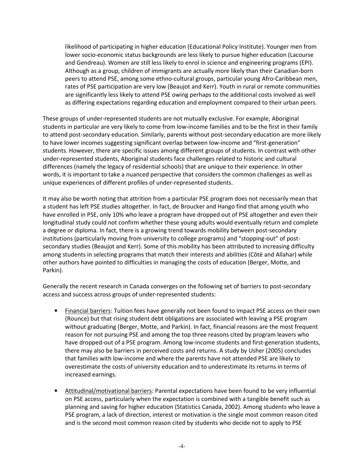likelihood of participating in higher education (Educational Policy Institute). Younger men from lower socio-economic status backgrounds are less likely to pursue higher education (Lacourse and Gendreau). Women are still less likely to enrol in science and engineering programs (EPI). Although as a group, children of immigrants are actually more likely than their Canadian-born peers to attend PSE, among some ethno-cultural groups, particular young Afro-Caribbean men, rates of PSE participation are very low (Beaujot and Kerr). Youth in rural or remote communities are significantly less likely to attend PSE owing perhaps to the additional costs involved as well as differing expectations regarding education and employment compared to their urban peers.

These groups of under-represented students are not mutually exclusive. For example, Aboriginal students in particular are very likely to come from low-income families and to be the first in their family to attend post-secondary education. Similarly, parents without post-secondary education are more likely to have lower incomes suggesting significant overlap between low-income and "first-generation" students. However, there are specific issues among different groups of students. In contrast with other under-represented students, Aboriginal students face challenges related to historic and cultural differences (namely the legacy of residential schools) that are unique to their experience. In other words, it is important to take a nuanced perspective that considers the common challenges as well as unique experiences of different profiles of under-represented students.

It may also be worth noting that attrition from a particular PSE program does not necessarily mean that a student has left PSE studies altogether. In fact, de Broucker and Hango find that among youth who have enrolled in PSE, only 10% who leave a program have dropped out of PSE altogether and even their longitudinal study could not confirm whether these young adults would eventually return and complete a degree or diploma. In fact, there is a growing trend towards mobility between post-secondary institutions (particularly moving from university to college programs) and "stopping-out" of postsecondary studies (Beaujot and Kerr). Some of this mobility has been attributed to increasing difficulty among students in selecting programs that match their interests and abilities (Côté and Allahar) while other authors have pointed to difficulties in managing the costs of education (Berger, Motte, and Parkin).

Generally the recent research in Canada converges on the following set of barriers to post-secondary access and success across groups of under-represented students:

- Financial barriers: Tuition fees have generally not been found to impact PSE access on their own (Rounce) but that rising student debt obligations are associated with leaving a PSE program without graduating (Berger, Motte, and Parkin). In fact, financial reasons are the most frequent reason for not pursuing PSE and among the top three reasons cited by program leavers who have dropped-out of a PSE program. Among low-income students and first-generation students, there may also be barriers in perceived costs and returns. A study by Usher (2005) concludes that families with low-income and where the parents have not attended PSE are likely to overestimate the costs of university education and to underestimate its returns in terms of increased earnings.
- Attitudinal/motivational barriers: Parental expectations have been found to be very influential on PSE access, particularly when the expectation is combined with a tangible benefit such as planning and saving for higher education (Statistics Canada, 2002). Among students who leave a PSE program, a lack of direction, interest or motivation is the single most common reason cited and is the second most common reason cited by students who decide not to apply to PSE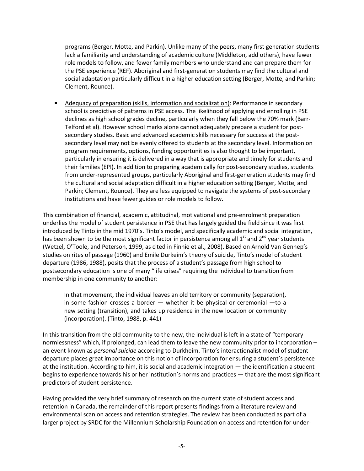programs (Berger, Motte, and Parkin). Unlike many of the peers, many first generation students lack a familiarity and understanding of academic culture (Middleton, add others), have fewer role models to follow, and fewer family members who understand and can prepare them for the PSE experience (REF). Aboriginal and first-generation students may find the cultural and social adaptation particularly difficult in a higher education setting (Berger, Motte, and Parkin; Clement, Rounce).

• Adequacy of preparation (skills, information and socialization): Performance in secondary school is predictive of patterns in PSE access. The likelihood of applying and enrolling in PSE declines as high school grades decline, particularly when they fall below the 70% mark (Barr-Telford et al). However school marks alone cannot adequately prepare a student for postsecondary studies. Basic and advanced academic skills necessary for success at the postsecondary level may not be evenly offered to students at the secondary level. Information on program requirements, options, funding opportunities is also thought to be important, particularly in ensuring it is delivered in a way that is appropriate and timely for students and their families (EPI). In addition to preparing academically for post-secondary studies, students from under-represented groups, particularly Aboriginal and first-generation students may find the cultural and social adaptation difficult in a higher education setting (Berger, Motte, and Parkin; Clement, Rounce). They are less equipped to navigate the systems of post-secondary institutions and have fewer guides or role models to follow.

This combination of financial, academic, attitudinal, motivational and pre-enrolment preparation underlies the model of student persistence in PSE that has largely guided the field since it was first introduced by Tinto in the mid 1970's. Tinto's model, and specifically academic and social integration, has been shown to be the most significant factor in persistence among all  $1<sup>st</sup>$  and  $2<sup>nd</sup>$  year students (Wetzel, O'Toole, and Peterson, 1999, as cited in Finnie et al., 2008). Based on Arnold Van Gennep's studies on rites of passage (1960) and Emile Durkeim's theory of suicide, Tinto's model of student departure (1986, 1988), posits that the process of a student's passage from high school to postsecondary education is one of many "life crises" requiring the individual to transition from membership in one community to another:

In that movement, the individual leaves an old territory or community (separation), in some fashion crosses a border — whether it be physical or ceremonial —to a new setting (transition), and takes up residence in the new location or community (incorporation). (Tinto, 1988, p. 441)

In this transition from the old community to the new, the individual is left in a state of "temporary normlessness" which, if prolonged, can lead them to leave the new community prior to incorporation – an event known as personal suicide according to Durkheim. Tinto's interactionalist model of student departure places great importance on this notion of incorporation for ensuring a student's persistence at the institution. According to him, it is social and academic integration — the identification a student begins to experience towards his or her institution's norms and practices — that are the most significant predictors of student persistence.

Having provided the very brief summary of research on the current state of student access and retention in Canada, the remainder of this report presents findings from a literature review and environmental scan on access and retention strategies. The review has been conducted as part of a larger project by SRDC for the Millennium Scholarship Foundation on access and retention for under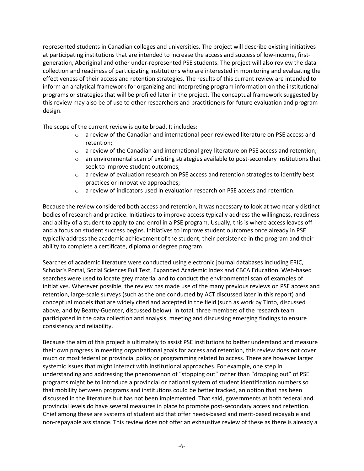represented students in Canadian colleges and universities. The project will describe existing initiatives at participating institutions that are intended to increase the access and success of low-income, firstgeneration, Aboriginal and other under-represented PSE students. The project will also review the data collection and readiness of participating institutions who are interested in monitoring and evaluating the effectiveness of their access and retention strategies. The results of this current review are intended to inform an analytical framework for organizing and interpreting program information on the institutional programs or strategies that will be profiled later in the project. The conceptual framework suggested by this review may also be of use to other researchers and practitioners for future evaluation and program design.

The scope of the current review is quite broad. It includes:

- $\circ$  a review of the Canadian and international peer-reviewed literature on PSE access and retention;
- $\circ$  a review of the Canadian and international grey-literature on PSE access and retention;
- $\circ$  an environmental scan of existing strategies available to post-secondary institutions that seek to improve student outcomes;
- $\circ$  a review of evaluation research on PSE access and retention strategies to identify best practices or innovative approaches;
- $\circ$  a review of indicators used in evaluation research on PSE access and retention.

Because the review considered both access and retention, it was necessary to look at two nearly distinct bodies of research and practice. Initiatives to improve access typically address the willingness, readiness and ability of a student to apply to and enrol in a PSE program. Usually, this is where access leaves off and a focus on student success begins. Initiatives to improve student outcomes once already in PSE typically address the academic achievement of the student, their persistence in the program and their ability to complete a certificate, diploma or degree program.

Searches of academic literature were conducted using electronic journal databases including ERIC, Scholar's Portal, Social Sciences Full Text, Expanded Academic Index and CBCA Education. Web-based searches were used to locate grey material and to conduct the environmental scan of examples of initiatives. Wherever possible, the review has made use of the many previous reviews on PSE access and retention, large-scale surveys (such as the one conducted by ACT discussed later in this report) and conceptual models that are widely cited and accepted in the field (such as work by Tinto, discussed above, and by Beatty-Guenter, discussed below). In total, three members of the research team participated in the data collection and analysis, meeting and discussing emerging findings to ensure consistency and reliability.

Because the aim of this project is ultimately to assist PSE institutions to better understand and measure their own progress in meeting organizational goals for access and retention, this review does not cover much or most federal or provincial policy or programming related to access. There are however larger systemic issues that might interact with institutional approaches. For example, one step in understanding and addressing the phenomenon of "stopping out" rather than "dropping out" of PSE programs might be to introduce a provincial or national system of student identification numbers so that mobility between programs and institutions could be better tracked, an option that has been discussed in the literature but has not been implemented. That said, governments at both federal and provincial levels do have several measures in place to promote post-secondary access and retention. Chief among these are systems of student aid that offer needs-based and merit-based repayable and non-repayable assistance. This review does not offer an exhaustive review of these as there is already a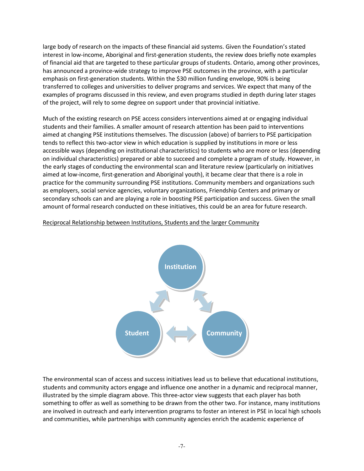large body of research on the impacts of these financial aid systems. Given the Foundation's stated interest in low-income, Aboriginal and first-generation students, the review does briefly note examples of financial aid that are targeted to these particular groups of students. Ontario, among other provinces, has announced a province-wide strategy to improve PSE outcomes in the province, with a particular emphasis on first-generation students. Within the \$30 million funding envelope, 90% is being transferred to colleges and universities to deliver programs and services. We expect that many of the examples of programs discussed in this review, and even programs studied in depth during later stages of the project, will rely to some degree on support under that provincial initiative.

Much of the existing research on PSE access considers interventions aimed at or engaging individual students and their families. A smaller amount of research attention has been paid to interventions aimed at changing PSE institutions themselves. The discussion (above) of barriers to PSE participation tends to reflect this two-actor view in which education is supplied by institutions in more or less accessible ways (depending on institutional characteristics) to students who are more or less (depending on individual characteristics) prepared or able to succeed and complete a program of study. However, in the early stages of conducting the environmental scan and literature review (particularly on initiatives aimed at low-income, first-generation and Aboriginal youth), it became clear that there is a role in practice for the community surrounding PSE institutions. Community members and organizations such as employers, social service agencies, voluntary organizations, Friendship Centers and primary or secondary schools can and are playing a role in boosting PSE participation and success. Given the small amount of formal research conducted on these initiatives, this could be an area for future research.

### Reciprocal Relationship between Institutions, Students and the larger Community



The environmental scan of access and success initiatives lead us to believe that educational institutions, students and community actors engage and influence one another in a dynamic and reciprocal manner, illustrated by the simple diagram above. This three-actor view suggests that each player has both something to offer as well as something to be drawn from the other two. For instance, many institutions are involved in outreach and early intervention programs to foster an interest in PSE in local high schools and communities, while partnerships with community agencies enrich the academic experience of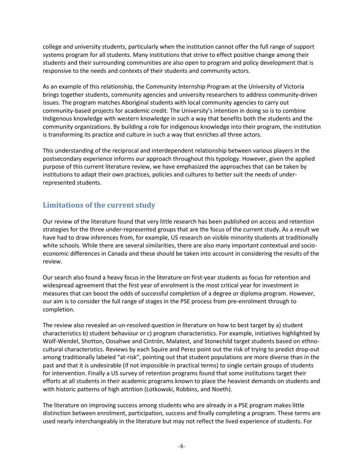college and university students, particularly when the institution cannot offer the full range of support systems program for all students. Many institutions that strive to effect positive change among their students and their surrounding communities are also open to program and policy development that is responsive to the needs and contexts of their students and community actors.

As an example of this relationship, the Community Internship Program at the University of Victoria brings together students, community agencies and university researchers to address community-driven issues. The program matches Aboriginal students with local community agencies to carry out community-based projects for academic credit. The University's intention in doing so is to combine Indigenous knowledge with western knowledge in such a way that benefits both the students and the community organizations. By building a role for indigenous knowledge into their program, the institution is transforming its practice and culture in such a way that enriches all three actors.

This understanding of the reciprocal and interdependent relationship between various players in the postsecondary experience informs our approach throughout this typology. However, given the applied purpose of this current literature review, we have emphasized the approaches that can be taken by institutions to adapt their own practices, policies and cultures to better suit the needs of underrepresented students.

# Limitations of the current study

Our review of the literature found that very little research has been published on access and retention strategies for the three under-represented groups that are the focus of the current study. As a result we have had to draw inferences from, for example, US research on visible minority students at traditionally white schools. While there are several similarities, there are also many important contextual and socioeconomic differences in Canada and these should be taken into account in considering the results of the review.

Our search also found a heavy focus in the literature on first-year students as focus for retention and widespread agreement that the first year of enrolment is the most critical year for investment in measures that can boost the odds of successful completion of a degree or diploma program. However, our aim is to consider the full range of stages in the PSE process from pre-enrolment through to completion.

The review also revealed an un-resolved question in literature on how to best target by a) student characteristics b) student behaviour or c) program characteristics. For example, initiatives highlighted by Wolf-Wendel, Shotton, Oosahwe and Cintrón, Malatest, and Stonechild target students based on ethnocultural characteristics. Reviews by each Squire and Perez point out the risk of trying to predict drop-out among traditionally labeled "at-risk", pointing out that student populations are more diverse than in the past and that it is undesirable (if not impossible in practical terms) to single certain groups of students for intervention. Finally a US survey of retention programs found that some institutions target their efforts at all students in their academic programs known to place the heaviest demands on students and with historic patterns of high attrition (Lotkowski, Robbins, and Noeth).

The literature on improving success among students who are already in a PSE program makes little distinction between enrolment, participation, success and finally completing a program. These terms are used nearly interchangeably in the literature but may not reflect the lived experience of students. For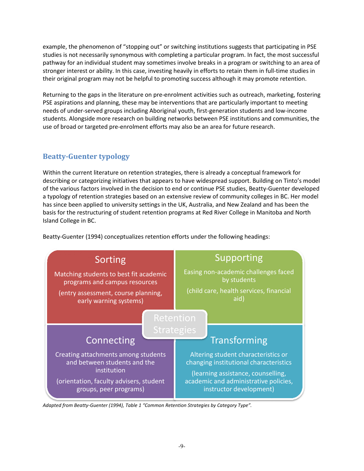example, the phenomenon of "stopping out" or switching institutions suggests that participating in PSE example, the phenomenon of "stopping out" or switching institutions suggests that participating in PSE<br>studies is not necessarily synonymous with completing a particular program. In fact, the most successful<br>pathway for an pathway for an individual student may sometimes involve breaks in a program or switching to an area of stronger interest or ability. In this case, investing heavily in efforts to retain them in full their original program may not be helpful to promoting success although it may promote retention.

their original program may not be helpful to promoting success although it may promote retention.<br>Returning to the gaps in the literature on pre-enrolment activities such as outreach, marketing, fostering PSE aspirations and planning, these may be interventions that are particularly important to meet needs of under-served groups including Aboriginal youth, first-generation students and low-income students. Alongside more research on building networks between PSE institutions and communities, the use of broad or targeted pre-enrolment efforts may also be an area for future research. ngside more research on building networks between PSE institutions and communities, the<br>pr targeted pre-enrolment efforts may also be an area for future research.<br>**enter typology**<br>rrent literature on retention strategies, marketing, fostering<br>tant to meeting

# Beatty-Guenter typology

Within the current literature on retention strategies, there is already a conceptual framework for describing or categorizing initiatives that appears to have widespread support. Building on Tinto's model of the various factors involved in the decision to end or continue PSE studies, Beatty-Guenter developed<br>a typology of retention strategies based on an extensive review of community colleges in BC. Her model a typology of retention strategies based on an extensive review of community colleges in BC. has since been applied to university settings in the UK, Australia, and New Zealand and has been the basis for the restructuring of student retention programs at Red River College in Manitoba and North Island College in BC.

Beatty-Guenter (1994) conceptualizes retention efforts under the following headings:



Adapted from Beatty-Guenter (1994), Table 1 "Common Retention Strategies by Category Type".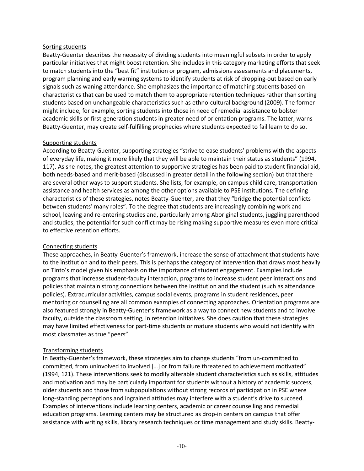#### Sorting students

Beatty-Guenter describes the necessity of dividing students into meaningful subsets in order to apply particular initiatives that might boost retention. She includes in this category marketing efforts that seek to match students into the "best fit" institution or program, admissions assessments and placements, program planning and early warning systems to identify students at risk of dropping-out based on early signals such as waning attendance. She emphasizes the importance of matching students based on characteristics that can be used to match them to appropriate retention techniques rather than sorting students based on unchangeable characteristics such as ethno-cultural background (2009). The former might include, for example, sorting students into those in need of remedial assistance to bolster academic skills or first-generation students in greater need of orientation programs. The latter, warns Beatty-Guenter, may create self-fulfilling prophecies where students expected to fail learn to do so.

### Supporting students

According to Beatty-Guenter, supporting strategies "strive to ease students' problems with the aspects of everyday life, making it more likely that they will be able to maintain their status as students" (1994, 117). As she notes, the greatest attention to supportive strategies has been paid to student financial aid, both needs-based and merit-based (discussed in greater detail in the following section) but that there are several other ways to support students. She lists, for example, on campus child care, transportation assistance and health services as among the other options available to PSE institutions. The defining characteristics of these strategies, notes Beatty-Guenter, are that they "bridge the potential conflicts between students' many roles". To the degree that students are increasingly combining work and school, leaving and re-entering studies and, particularly among Aboriginal students, juggling parenthood and studies, the potential for such conflict may be rising making supportive measures even more critical to effective retention efforts.

### Connecting students

These approaches, in Beatty-Guenter's framework, increase the sense of attachment that students have to the institution and to their peers. This is perhaps the category of intervention that draws most heavily on Tinto's model given his emphasis on the importance of student engagement. Examples include programs that increase student-faculty interaction, programs to increase student peer interactions and policies that maintain strong connections between the institution and the student (such as attendance policies). Extracurricular activities, campus social events, programs in student residences, peer mentoring or counselling are all common examples of connecting approaches. Orientation programs are also featured strongly in Beatty-Guenter's framework as a way to connect new students and to involve faculty, outside the classroom setting, in retention initiatives. She does caution that these strategies may have limited effectiveness for part-time students or mature students who would not identify with most classmates as true "peers".

### Transforming students

In Beatty-Guenter's framework, these strategies aim to change students "from un-committed to committed, from uninvolved to involved […] or from failure threatened to achievement motivated" (1994, 121). These interventions seek to modify alterable student characteristics such as skills, attitudes and motivation and may be particularly important for students without a history of academic success, older students and those from subpopulations without strong records of participation in PSE where long-standing perceptions and ingrained attitudes may interfere with a student's drive to succeed. Examples of interventions include learning centers, academic or career counselling and remedial education programs. Learning centers may be structured as drop-in centers on campus that offer assistance with writing skills, library research techniques or time management and study skills. Beatty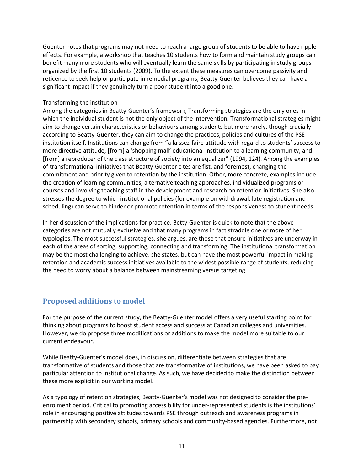Guenter notes that programs may not need to reach a large group of students to be able to have ripple effects. For example, a workshop that teaches 10 students how to form and maintain study groups can benefit many more students who will eventually learn the same skills by participating in study groups organized by the first 10 students (2009). To the extent these measures can overcome passivity and reticence to seek help or participate in remedial programs, Beatty-Guenter believes they can have a significant impact if they genuinely turn a poor student into a good one.

### Transforming the institution

Among the categories in Beatty-Guenter's framework, Transforming strategies are the only ones in which the individual student is not the only object of the intervention. Transformational strategies might aim to change certain characteristics or behaviours among students but more rarely, though crucially according to Beatty-Guenter, they can aim to change the practices, policies and cultures of the PSE institution itself. Institutions can change from "a laissez-faire attitude with regard to students' success to more directive attitude, [from] a 'shopping mall' educational institution to a learning community, and [from] a reproducer of the class structure of society into an equalizer" (1994, 124). Among the examples of transformational initiatives that Beatty-Guenter cites are fist, and foremost, changing the commitment and priority given to retention by the institution. Other, more concrete, examples include the creation of learning communities, alternative teaching approaches, individualized programs or courses and involving teaching staff in the development and research on retention initiatives. She also stresses the degree to which institutional policies (for example on withdrawal, late registration and scheduling) can serve to hinder or promote retention in terms of the responsiveness to student needs.

In her discussion of the implications for practice, Betty-Guenter is quick to note that the above categories are not mutually exclusive and that many programs in fact straddle one or more of her typologies. The most successful strategies, she argues, are those that ensure initiatives are underway in each of the areas of sorting, supporting, connecting and transforming. The institutional transformation may be the most challenging to achieve, she states, but can have the most powerful impact in making retention and academic success initiatives available to the widest possible range of students, reducing the need to worry about a balance between mainstreaming versus targeting.

# Proposed additions to model

For the purpose of the current study, the Beatty-Guenter model offers a very useful starting point for thinking about programs to boost student access and success at Canadian colleges and universities. However, we do propose three modifications or additions to make the model more suitable to our current endeavour.

While Beatty-Guenter's model does, in discussion, differentiate between strategies that are transformative of students and those that are transformative of institutions, we have been asked to pay particular attention to institutional change. As such, we have decided to make the distinction between these more explicit in our working model.

As a typology of retention strategies, Beatty-Guenter's model was not designed to consider the preenrolment period. Critical to promoting accessibility for under-represented students is the institutions' role in encouraging positive attitudes towards PSE through outreach and awareness programs in partnership with secondary schools, primary schools and community-based agencies. Furthermore, not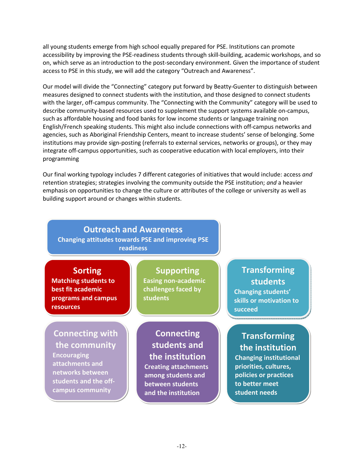all young students emerge from high school equally prepared for PSE. Institutions can promote accessibility by improving the PSE-readiness students through skill-building, academic workshops, and so on, which serve as an introduction to the post-secondary environment. Given the importance of student access to PSE in this study, we will add the category "Outreach and Awareness".

Our model will divide the "Connecting" category put forward by Beatty-Guenter to distinguish between measures designed to connect students with the institution, and those designed to connect students with the larger, off-campus community. The "Connecting with the Community" category will be used to describe community-based resources used to supplement the support systems available on-campus, such as affordable housing and food banks for low income students or language training non English/French speaking students. This might also include connections with off-campus networks and agencies, such as Aboriginal Friendship Centers, meant to increase students' sense of belonging. Some institutions may provide sign-posting (referrals to external services, networks or groups), or they may integrate off-campus opportunities, such as cooperative education with local employers, into their programming

Our final working typology includes 7 different categories of initiatives that would include: access and retention strategies; strategies involving the community outside the PSE institution; and a heavier emphasis on opportunities to change the culture or attributes of the college or university as well as building support around or changes within students.

#### Outreach and Awareness Changing attitudes towards PSE and improving PSE readiness Sorting Matching students to best fit academic programs and campus resources Supporting Easing non-academic challenges faced by students **Connecting** students and the institution Creating attachments among students and between students and the institution Connecting with the community **Encouraging** attachments and networks between students and the offcampus community **Transforming** students Changing students' skills or motivation to succeed **Transforming** the institution Changing institutional priorities, cultures, policies or practices to better meet student needs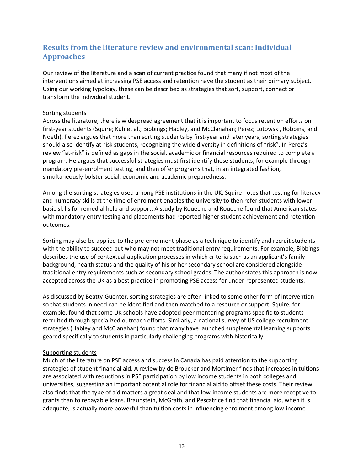# Results from the literature review and environmental scan: Individual Approaches

Our review of the literature and a scan of current practice found that many if not most of the interventions aimed at increasing PSE access and retention have the student as their primary subject. Using our working typology, these can be described as strategies that sort, support, connect or transform the individual student.

### Sorting students

Across the literature, there is widespread agreement that it is important to focus retention efforts on first-year students (Squire; Kuh et al.; Bibbings; Habley, and McClanahan; Perez; Lotowski, Robbins, and Noeth). Perez argues that more than sorting students by first-year and later years, sorting strategies should also identify at-risk students, recognizing the wide diversity in definitions of "risk". In Perez's review "at-risk" is defined as gaps in the social, academic or financial resources required to complete a program. He argues that successful strategies must first identify these students, for example through mandatory pre-enrolment testing, and then offer programs that, in an integrated fashion, simultaneously bolster social, economic and academic preparedness.

Among the sorting strategies used among PSE institutions in the UK, Squire notes that testing for literacy and numeracy skills at the time of enrolment enables the university to then refer students with lower basic skills for remedial help and support. A study by Roueche and Roueche found that American states with mandatory entry testing and placements had reported higher student achievement and retention outcomes.

Sorting may also be applied to the pre-enrolment phase as a technique to identify and recruit students with the ability to succeed but who may not meet traditional entry requirements. For example, Bibbings describes the use of contextual application processes in which criteria such as an applicant's family background, health status and the quality of his or her secondary school are considered alongside traditional entry requirements such as secondary school grades. The author states this approach is now accepted across the UK as a best practice in promoting PSE access for under-represented students.

As discussed by Beatty-Guenter, sorting strategies are often linked to some other form of intervention so that students in need can be identified and then matched to a resource or support. Squire, for example, found that some UK schools have adopted peer mentoring programs specific to students recruited through specialized outreach efforts. Similarly, a national survey of US college recruitment strategies (Habley and McClanahan) found that many have launched supplemental learning supports geared specifically to students in particularly challenging programs with historically

### Supporting students

Much of the literature on PSE access and success in Canada has paid attention to the supporting strategies of student financial aid. A review by de Broucker and Mortimer finds that increases in tuitions are associated with reductions in PSE participation by low income students in both colleges and universities, suggesting an important potential role for financial aid to offset these costs. Their review also finds that the type of aid matters a great deal and that low-income students are more receptive to grants than to repayable loans. Braunstein, McGrath, and Pescatrice find that financial aid, when it is adequate, is actually more powerful than tuition costs in influencing enrolment among low-income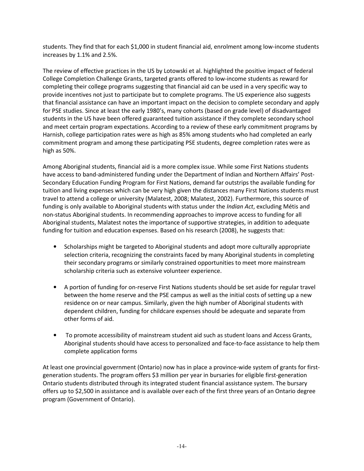students. They find that for each \$1,000 in student financial aid, enrolment among low-income students increases by 1.1% and 2.5%.

The review of effective practices in the US by Lotowski et al. highlighted the positive impact of federal College Completion Challenge Grants, targeted grants offered to low-income students as reward for completing their college programs suggesting that financial aid can be used in a very specific way to provide incentives not just to participate but to complete programs. The US experience also suggests that financial assistance can have an important impact on the decision to complete secondary and apply for PSE studies. Since at least the early 1980's, many cohorts (based on grade level) of disadvantaged students in the US have been offered guaranteed tuition assistance if they complete secondary school and meet certain program expectations. According to a review of these early commitment programs by Harnish, college participation rates were as high as 85% among students who had completed an early commitment program and among these participating PSE students, degree completion rates were as high as 50%.

Among Aboriginal students, financial aid is a more complex issue. While some First Nations students have access to band-administered funding under the Department of Indian and Northern Affairs' Post-Secondary Education Funding Program for First Nations, demand far outstrips the available funding for tuition and living expenses which can be very high given the distances many First Nations students must travel to attend a college or university (Malatest, 2008; Malatest, 2002). Furthermore, this source of funding is only available to Aboriginal students with status under the *Indian Act*, excluding Métis and non-status Aboriginal students. In recommending approaches to improve access to funding for all Aboriginal students, Malatest notes the importance of supportive strategies, in addition to adequate funding for tuition and education expenses. Based on his research (2008), he suggests that:

- Scholarships might be targeted to Aboriginal students and adopt more culturally appropriate selection criteria, recognizing the constraints faced by many Aboriginal students in completing their secondary programs or similarly constrained opportunities to meet more mainstream scholarship criteria such as extensive volunteer experience.
- A portion of funding for on-reserve First Nations students should be set aside for regular travel between the home reserve and the PSE campus as well as the initial costs of setting up a new residence on or near campus. Similarly, given the high number of Aboriginal students with dependent children, funding for childcare expenses should be adequate and separate from other forms of aid.
- To promote accessibility of mainstream student aid such as student loans and Access Grants, Aboriginal students should have access to personalized and face-to-face assistance to help them complete application forms

At least one provincial government (Ontario) now has in place a province-wide system of grants for firstgeneration students. The program offers \$3 million per year in bursaries for eligible first-generation Ontario students distributed through its integrated student financial assistance system. The bursary offers up to \$2,500 in assistance and is available over each of the first three years of an Ontario degree program (Government of Ontario).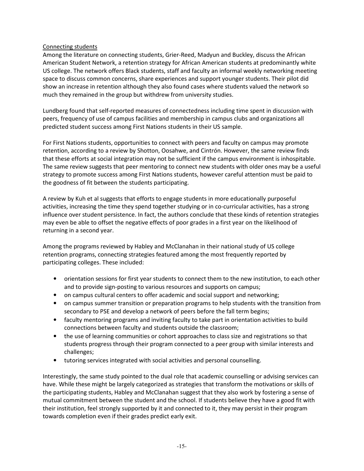### Connecting students

Among the literature on connecting students, Grier-Reed, Madyun and Buckley, discuss the African American Student Network, a retention strategy for African American students at predominantly white US college. The network offers Black students, staff and faculty an informal weekly networking meeting space to discuss common concerns, share experiences and support younger students. Their pilot did show an increase in retention although they also found cases where students valued the network so much they remained in the group but withdrew from university studies.

Lundberg found that self-reported measures of connectedness including time spent in discussion with peers, frequency of use of campus facilities and membership in campus clubs and organizations all predicted student success among First Nations students in their US sample.

For First Nations students, opportunities to connect with peers and faculty on campus may promote retention, according to a review by Shotton, Oosahwe, and Cintrón. However, the same review finds that these efforts at social integration may not be sufficient if the campus environment is inhospitable. The same review suggests that peer mentoring to connect new students with older ones may be a useful strategy to promote success among First Nations students, however careful attention must be paid to the goodness of fit between the students participating.

A review by Kuh et al suggests that efforts to engage students in more educationally purposeful activities, increasing the time they spend together studying or in co-curricular activities, has a strong influence over student persistence. In fact, the authors conclude that these kinds of retention strategies may even be able to offset the negative effects of poor grades in a first year on the likelihood of returning in a second year.

Among the programs reviewed by Habley and McClanahan in their national study of US college retention programs, connecting strategies featured among the most frequently reported by participating colleges. These included:

- orientation sessions for first year students to connect them to the new institution, to each other and to provide sign-posting to various resources and supports on campus;
- on campus cultural centers to offer academic and social support and networking;
- on campus summer transition or preparation programs to help students with the transition from secondary to PSE and develop a network of peers before the fall term begins;
- faculty mentoring programs and inviting faculty to take part in orientation activities to build connections between faculty and students outside the classroom;
- the use of learning communities or cohort approaches to class size and registrations so that students progress through their program connected to a peer group with similar interests and challenges;
- tutoring services integrated with social activities and personal counselling.

Interestingly, the same study pointed to the dual role that academic counselling or advising services can have. While these might be largely categorized as strategies that transform the motivations or skills of the participating students, Habley and McClanahan suggest that they also work by fostering a sense of mutual commitment between the student and the school. If students believe they have a good fit with their institution, feel strongly supported by it and connected to it, they may persist in their program towards completion even if their grades predict early exit.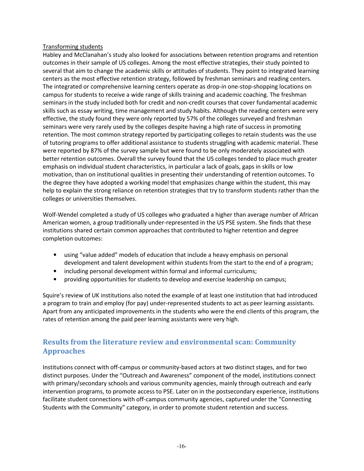### Transforming students

Habley and McClanahan's study also looked for associations between retention programs and retention outcomes in their sample of US colleges. Among the most effective strategies, their study pointed to several that aim to change the academic skills or attitudes of students. They point to integrated learning centers as the most effective retention strategy, followed by freshman seminars and reading centers. The integrated or comprehensive learning centers operate as drop-in one-stop-shopping locations on campus for students to receive a wide range of skills training and academic coaching. The freshman seminars in the study included both for credit and non-credit courses that cover fundamental academic skills such as essay writing, time management and study habits. Although the reading centers were very effective, the study found they were only reported by 57% of the colleges surveyed and freshman seminars were very rarely used by the colleges despite having a high rate of success in promoting retention. The most common strategy reported by participating colleges to retain students was the use of tutoring programs to offer additional assistance to students struggling with academic material. These were reported by 87% of the survey sample but were found to be only moderately associated with better retention outcomes. Overall the survey found that the US colleges tended to place much greater emphasis on individual student characteristics, in particular a lack of goals, gaps in skills or low motivation, than on institutional qualities in presenting their understanding of retention outcomes. To the degree they have adopted a working model that emphasizes change within the student, this may help to explain the strong reliance on retention strategies that try to transform students rather than the colleges or universities themselves.

Wolf-Wendel completed a study of US colleges who graduated a higher than average number of African American women, a group traditionally under-represented in the US PSE system. She finds that these institutions shared certain common approaches that contributed to higher retention and degree completion outcomes:

- using "value added" models of education that include a heavy emphasis on personal development and talent development within students from the start to the end of a program;
- including personal development within formal and informal curriculums;
- providing opportunities for students to develop and exercise leadership on campus;

Squire's review of UK institutions also noted the example of at least one institution that had introduced a program to train and employ (for pay) under-represented students to act as peer learning assistants. Apart from any anticipated improvements in the students who were the end clients of this program, the rates of retention among the paid peer learning assistants were very high.

# Results from the literature review and environmental scan: Community Approaches

Institutions connect with off-campus or community-based actors at two distinct stages, and for two distinct purposes. Under the "Outreach and Awareness" component of the model, institutions connect with primary/secondary schools and various community agencies, mainly through outreach and early intervention programs, to promote access to PSE. Later on in the postsecondary experience, institutions facilitate student connections with off-campus community agencies, captured under the "Connecting Students with the Community" category, in order to promote student retention and success.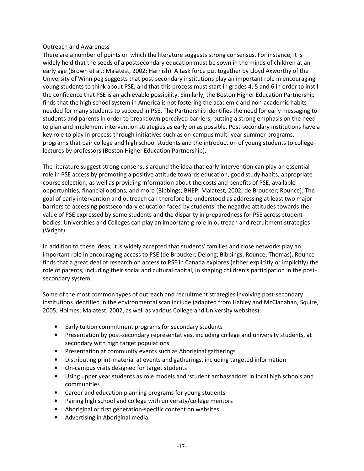### Outreach and Awareness

There are a number of points on which the literature suggests strong consensus. For instance, it is widely held that the seeds of a postsecondary education must be sown in the minds of children at an early age (Brown et al.; Malatest, 2002; Harnish). A task force put together by Lloyd Axworthy of the University of Winnipeg suggests that post-secondary institutions play an important role in encouraging young students to think about PSE, and that this process must start in grades 4, 5 and 6 in order to instil the confidence that PSE is an achievable possibility. Similarly, the Boston Higher Education Partnership finds that the high school system in America is not fostering the academic and non-academic habits needed for many students to succeed in PSE. The Partnership identifies the need for early messaging to students and parents in order to breakdown perceived barriers, putting a strong emphasis on the need to plan and implement intervention strategies as early on as possible. Post-secondary institutions have a key role to play in process through initiatives such as on-campus multi-year summer programs, programs that pair college and high school students and the introduction of young students to collegelectures by professors (Boston Higher Education Partnership).

The literature suggest strong consensus around the idea that early intervention can play an essential role in PSE access by promoting a positive attitude towards education, good study habits, appropriate course selection, as well as providing information about the costs and benefits of PSE, available opportunities, financial options, and more (Bibbings; BHEP; Malatest, 2002; de Broucker; Rounce). The goal of early intervention and outreach can therefore be understood as addressing at least two major barriers to accessing postsecondary education faced by students: the negative attitudes towards the value of PSE expressed by some students and the disparity in preparedness for PSE across student bodies. Universities and Colleges can play an important g role in outreach and recruitment strategies (Wright).

In addition to these ideas, it is widely accepted that students' families and close networks play an important role in encouraging access to PSE (de Broucker; Delong; Bibbings; Rounce; Thomas). Rounce finds that a great deal of research on access to PSE in Canada explores (either explicitly or implicitly) the role of parents, including their social and cultural capital, in shaping children's participation in the postsecondary system.

Some of the most common types of outreach and recruitment strategies involving post-secondary institutions identified in the environmental scan include (adapted from Habley and McClanahan, Squire, 2005; Holmes; Malatest, 2002, as well as various College and University websites):

- Early tuition commitment programs for secondary students
- Presentation by post-secondary representatives, including college and university students, at secondary with high target populations
- Presentation at community events such as Aboriginal gatherings
- Distributing print-material at events and gatherings, including targeted information
- On-campus visits designed for target students
- Using upper year students as role models and 'student ambassadors' in local high schools and communities
- Career and education planning programs for young students
- Pairing high school and college with university/college mentors
- Aboriginal or first generation-specific content on websites
- Advertising in Aboriginal media.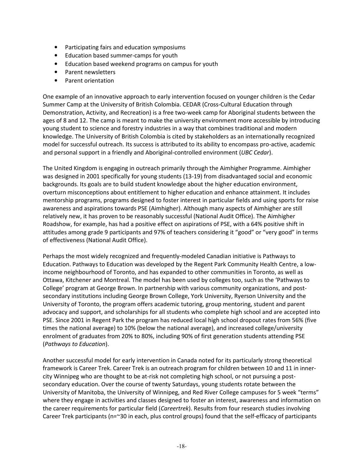- Participating fairs and education symposiums
- Education based summer-camps for youth
- Education based weekend programs on campus for youth
- Parent newsletters
- Parent orientation

One example of an innovative approach to early intervention focused on younger children is the Cedar Summer Camp at the University of British Colombia. CEDAR (Cross-Cultural Education through Demonstration, Activity, and Recreation) is a free two-week camp for Aboriginal students between the ages of 8 and 12. The camp is meant to make the university environment more accessible by introducing young student to science and forestry industries in a way that combines traditional and modern knowledge. The University of British Colombia is cited by stakeholders as an internationally recognized model for successful outreach. Its success is attributed to its ability to encompass pro-active, academic and personal support in a friendly and Aboriginal-controlled environment (UBC Cedar).

The United Kingdom is engaging in outreach primarily through the Aimhigher Programme. Aimhigher was designed in 2001 specifically for young students (13-19) from disadvantaged social and economic backgrounds. Its goals are to build student knowledge about the higher education environment, overturn misconceptions about entitlement to higher education and enhance attainment. It includes mentorship programs, programs designed to foster interest in particular fields and using sports for raise awareness and aspirations towards PSE (Aimhigher). Although many aspects of Aimhigher are still relatively new, it has proven to be reasonably successful (National Audit Office). The Aimhigher Roadshow, for example, has had a positive effect on aspirations of PSE, with a 64% positive shift in attitudes among grade 9 participants and 97% of teachers considering it "good" or "very good" in terms of effectiveness (National Audit Office).

Perhaps the most widely recognized and frequently-modeled Canadian initiative is Pathways to Education. Pathways to Education was developed by the Regent Park Community Health Centre, a lowincome neighbourhood of Toronto, and has expanded to other communities in Toronto, as well as Ottawa, Kitchener and Montreal. The model has been used by colleges too, such as the 'Pathways to College' program at George Brown. In partnership with various community organizations, and postsecondary institutions including George Brown College, York University, Ryerson University and the University of Toronto, the program offers academic tutoring, group mentoring, student and parent advocacy and support, and scholarships for all students who complete high school and are accepted into PSE. Since 2001 in Regent Park the program has reduced local high school dropout rates from 56% (five times the national average) to 10% (below the national average), and increased college/university enrolment of graduates from 20% to 80%, including 90% of first generation students attending PSE (Pathways to Education).

Another successful model for early intervention in Canada noted for its particularly strong theoretical framework is Career Trek. Career Trek is an outreach program for children between 10 and 11 in innercity Winnipeg who are thought to be at-risk not completing high school, or not pursuing a postsecondary education. Over the course of twenty Saturdays, young students rotate between the University of Manitoba, the University of Winnipeg, and Red River College campuses for 5 week "terms" where they engage in activities and classes designed to foster an interest, awareness and information on the career requirements for particular field (Careertrek). Results from four research studies involving Career Trek participants (n=~30 in each, plus control groups) found that the self-efficacy of participants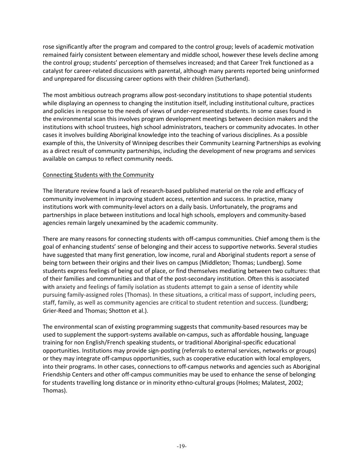rose significantly after the program and compared to the control group; levels of academic motivation remained fairly consistent between elementary and middle school, however these levels decline among the control group; students' perception of themselves increased; and that Career Trek functioned as a catalyst for career-related discussions with parental, although many parents reported being uninformed and unprepared for discussing career options with their children (Sutherland).

The most ambitious outreach programs allow post-secondary institutions to shape potential students while displaying an openness to changing the institution itself, including institutional culture, practices and policies in response to the needs of views of under-represented students. In some cases found in the environmental scan this involves program development meetings between decision makers and the institutions with school trustees, high school administrators, teachers or community advocates. In other cases it involves building Aboriginal knowledge into the teaching of various disciplines. As a possible example of this, the University of Winnipeg describes their Community Learning Partnerships as evolving as a direct result of community partnerships, including the development of new programs and services available on campus to reflect community needs.

### Connecting Students with the Community

The literature review found a lack of research-based published material on the role and efficacy of community involvement in improving student access, retention and success. In practice, many institutions work with community-level actors on a daily basis. Unfortunately, the programs and partnerships in place between institutions and local high schools, employers and community-based agencies remain largely unexamined by the academic community.

There are many reasons for connecting students with off-campus communities. Chief among them is the goal of enhancing students' sense of belonging and their access to supportive networks. Several studies have suggested that many first generation, low income, rural and Aboriginal students report a sense of being torn between their origins and their lives on campus (Middleton; Thomas; Lundberg). Some students express feelings of being out of place, or find themselves mediating between two cultures: that of their families and communities and that of the post-secondary institution. Often this is associated with anxiety and feelings of family isolation as students attempt to gain a sense of identity while pursuing family-assigned roles (Thomas). In these situations, a critical mass of support, including peers, staff, family, as well as community agencies are critical to student retention and success. (Lundberg; Grier-Reed and Thomas; Shotton et al.).

The environmental scan of existing programming suggests that community-based resources may be used to supplement the support-systems available on-campus, such as affordable housing, language training for non English/French speaking students, or traditional Aboriginal-specific educational opportunities. Institutions may provide sign-posting (referrals to external services, networks or groups) or they may integrate off-campus opportunities, such as cooperative education with local employers, into their programs. In other cases, connections to off-campus networks and agencies such as Aboriginal Friendship Centers and other off-campus communities may be used to enhance the sense of belonging for students travelling long distance or in minority ethno-cultural groups (Holmes; Malatest, 2002; Thomas).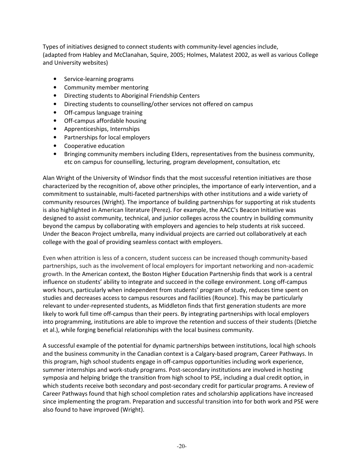Types of initiatives designed to connect students with community-level agencies include, (adapted from Habley and McClanahan, Squire, 2005; Holmes, Malatest 2002, as well as various College and University websites)

- Service-learning programs
- Community member mentoring
- Directing students to Aboriginal Friendship Centers
- Directing students to counselling/other services not offered on campus
- Off-campus language training
- Off-campus affordable housing
- Apprenticeships, Internships
- Partnerships for local employers
- Cooperative education
- Bringing community members including Elders, representatives from the business community, etc on campus for counselling, lecturing, program development, consultation, etc

Alan Wright of the University of Windsor finds that the most successful retention initiatives are those characterized by the recognition of, above other principles, the importance of early intervention, and a commitment to sustainable, multi-faceted partnerships with other institutions and a wide variety of community resources (Wright). The importance of building partnerships for supporting at risk students is also highlighted in American literature (Perez). For example, the AACC's Beacon Initiative was designed to assist community, technical, and junior colleges across the country in building community beyond the campus by collaborating with employers and agencies to help students at risk succeed. Under the Beacon Project umbrella, many individual projects are carried out collaboratively at each college with the goal of providing seamless contact with employers.

Even when attrition is less of a concern, student success can be increased though community-based partnerships, such as the involvement of local employers for important networking and non-academic growth. In the American context, the Boston Higher Education Partnership finds that work is a central influence on students' ability to integrate and succeed in the college environment. Long off-campus work hours, particularly when independent from students' program of study, reduces time spent on studies and decreases access to campus resources and facilities (Rounce). This may be particularly relevant to under-represented students, as Middleton finds that first generation students are more likely to work full time off-campus than their peers. By integrating partnerships with local employers into programming, institutions are able to improve the retention and success of their students (Dietche et al.), while forging beneficial relationships with the local business community.

A successful example of the potential for dynamic partnerships between institutions, local high schools and the business community in the Canadian context is a Calgary-based program, Career Pathways. In this program, high school students engage in off-campus opportunities including work experience, summer internships and work-study programs. Post-secondary institutions are involved in hosting symposia and helping bridge the transition from high school to PSE, including a dual credit option, in which students receive both secondary and post-secondary credit for particular programs. A review of Career Pathways found that high school completion rates and scholarship applications have increased since implementing the program. Preparation and successful transition into for both work and PSE were also found to have improved (Wright).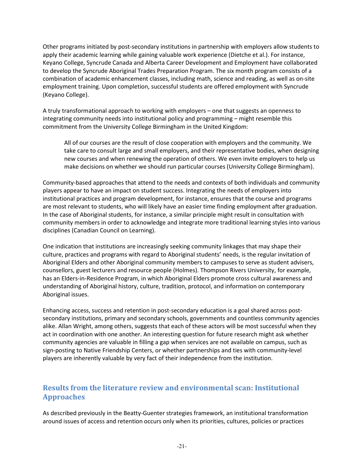Other programs initiated by post-secondary institutions in partnership with employers allow students to apply their academic learning while gaining valuable work experience (Dietche et al.). For instance, Keyano College, Syncrude Canada and Alberta Career Development and Employment have collaborated to develop the Syncrude Aboriginal Trades Preparation Program. The six month program consists of a combination of academic enhancement classes, including math, science and reading, as well as on-site employment training. Upon completion, successful students are offered employment with Syncrude (Keyano College).

A truly transformational approach to working with employers – one that suggests an openness to integrating community needs into institutional policy and programming – might resemble this commitment from the University College Birmingham in the United Kingdom:

All of our courses are the result of close cooperation with employers and the community. We take care to consult large and small employers, and their representative bodies, when designing new courses and when renewing the operation of others. We even invite employers to help us make decisions on whether we should run particular courses (University College Birmingham).

Community-based approaches that attend to the needs and contexts of both individuals and community players appear to have an impact on student success. Integrating the needs of employers into institutional practices and program development, for instance, ensures that the course and programs are most relevant to students, who will likely have an easier time finding employment after graduation. In the case of Aboriginal students, for instance, a similar principle might result in consultation with community members in order to acknowledge and integrate more traditional learning styles into various disciplines (Canadian Council on Learning).

One indication that institutions are increasingly seeking community linkages that may shape their culture, practices and programs with regard to Aboriginal students' needs, is the regular invitation of Aboriginal Elders and other Aboriginal community members to campuses to serve as student advisers, counsellors, guest lecturers and resource people (Holmes). Thompson Rivers University, for example, has an Elders-in-Residence Program, in which Aboriginal Elders promote cross cultural awareness and understanding of Aboriginal history, culture, tradition, protocol, and information on contemporary Aboriginal issues.

Enhancing access, success and retention in post-secondary education is a goal shared across postsecondary institutions, primary and secondary schools, governments and countless community agencies alike. Allan Wright, among others, suggests that each of these actors will be most successful when they act in coordination with one another. An interesting question for future research might ask whether community agencies are valuable in filling a gap when services are not available on campus, such as sign-posting to Native Friendship Centers, or whether partnerships and ties with community-level players are inherently valuable by very fact of their independence from the institution.

# Results from the literature review and environmental scan: Institutional Approaches

As described previously in the Beatty-Guenter strategies framework, an institutional transformation around issues of access and retention occurs only when its priorities, cultures, policies or practices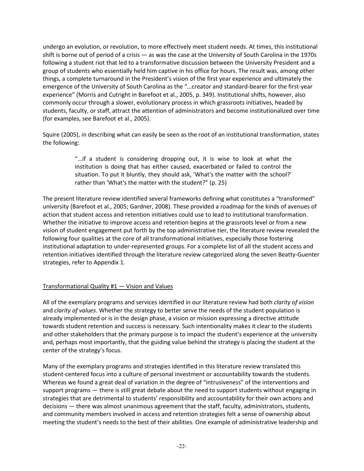undergo an evolution, or revolution, to more effectively meet student needs. At times, this institutional shift is borne out of period of a crisis — as was the case at the University of South Carolina in the 1970s following a student riot that led to a transformative discussion between the University President and a group of students who essentially held him captive in his office for hours. The result was, among other things, a complete turnaround in the President's vision of the first year experience and ultimately the emergence of the University of South Carolina as the "…creator and standard-bearer for the first-year experience" (Morris and Cutright in Barefoot et al., 2005, p. 349). Institutional shifts, however, also commonly occur through a slower, evolutionary process in which grassroots initiatives, headed by students, faculty, or staff, attract the attention of administrators and become institutionalized over time (for examples, see Barefoot et al., 2005).

Squire (2005), in describing what can easily be seen as the root of an institutional transformation, states the following:

> "…if a student is considering dropping out, it is wise to look at what the institution is doing that has either caused, exacerbated or failed to control the situation. To put it bluntly, they should ask, 'What's the matter with the school?' rather than 'What's the matter with the student?" (p. 25)

The present literature review identified several frameworks defining what constitutes a "transformed" university (Barefoot et al., 2005; Gardner, 2008). These provided a roadmap for the kinds of avenues of action that student access and retention initiatives could use to lead to institutional transformation. Whether the initiative to improve access and retention begins at the grassroots level or from a new vision of student engagement put forth by the top administrative tier, the literature review revealed the following four qualities at the core of all transformational initiatives, especially those fostering institutional adaptation to under-represented groups. For a complete list of all the student access and retention initiatives identified through the literature review categorized along the seven Beatty-Guenter strategies, refer to Appendix 1.

### Transformational Quality #1 — Vision and Values

All of the exemplary programs and services identified in our literature review had both *clarity of vision* and clarity of values. Whether the strategy to better serve the needs of the student population is already implemented or is in the design phase, a vision or mission expressing a directive attitude towards student retention and success is necessary. Such intentionality makes it clear to the students and other stakeholders that the primary purpose is to impact the student's experience at the university and, perhaps most importantly, that the guiding value behind the strategy is placing the student at the center of the strategy's focus.

Many of the exemplary programs and strategies identified in this literature review translated this student-centered focus into a culture of personal investment or accountability towards the students. Whereas we found a great deal of variation in the degree of "intrusiveness" of the interventions and support programs — there is still great debate about the need to support students without engaging in strategies that are detrimental to students' responsibility and accountability for their own actions and decisions — there was almost unanimous agreement that the staff, faculty, administrators, students, and community members involved in access and retention strategies felt a sense of ownership about meeting the student's needs to the best of their abilities. One example of administrative leadership and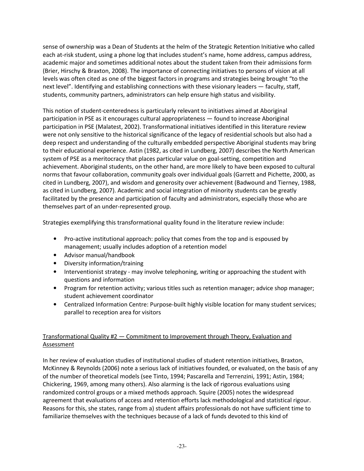sense of ownership was a Dean of Students at the helm of the Strategic Retention Initiative who called each at-risk student, using a phone log that includes student's name, home address, campus address, academic major and sometimes additional notes about the student taken from their admissions form (Brier, Hirschy & Braxton, 2008). The importance of connecting initiatives to persons of vision at all levels was often cited as one of the biggest factors in programs and strategies being brought "to the next level". Identifying and establishing connections with these visionary leaders — faculty, staff, students, community partners, administrators can help ensure high status and visibility.

This notion of student-centeredness is particularly relevant to initiatives aimed at Aboriginal participation in PSE as it encourages cultural appropriateness — found to increase Aboriginal participation in PSE (Malatest, 2002). Transformational initiatives identified in this literature review were not only sensitive to the historical significance of the legacy of residential schools but also had a deep respect and understanding of the culturally embedded perspective Aboriginal students may bring to their educational experience. Astin (1982, as cited in Lundberg, 2007) describes the North American system of PSE as a meritocracy that places particular value on goal-setting, competition and achievement. Aboriginal students, on the other hand, are more likely to have been exposed to cultural norms that favour collaboration, community goals over individual goals (Garrett and Pichette, 2000, as cited in Lundberg, 2007), and wisdom and generosity over achievement (Badwound and Tierney, 1988, as cited in Lundberg, 2007). Academic and social integration of minority students can be greatly facilitated by the presence and participation of faculty and administrators, especially those who are themselves part of an under-represented group.

Strategies exemplifying this transformational quality found in the literature review include:

- Pro-active institutional approach: policy that comes from the top and is espoused by management; usually includes adoption of a retention model
- Advisor manual/handbook
- Diversity information/training
- Interventionist strategy may involve telephoning, writing or approaching the student with questions and information
- Program for retention activity; various titles such as retention manager; advice shop manager; student achievement coordinator
- Centralized Information Centre: Purpose-built highly visible location for many student services; parallel to reception area for visitors

### Transformational Quality #2 — Commitment to Improvement through Theory, Evaluation and Assessment

In her review of evaluation studies of institutional studies of student retention initiatives, Braxton, McKinney & Reynolds (2006) note a serious lack of initiatives founded, or evaluated, on the basis of any of the number of theoretical models (see Tinto, 1994; Pascarella and Terrenzini, 1991; Astin, 1984; Chickering, 1969, among many others). Also alarming is the lack of rigorous evaluations using randomized control groups or a mixed methods approach. Squire (2005) notes the widespread agreement that evaluations of access and retention efforts lack methodological and statistical rigour. Reasons for this, she states, range from a) student affairs professionals do not have sufficient time to familiarize themselves with the techniques because of a lack of funds devoted to this kind of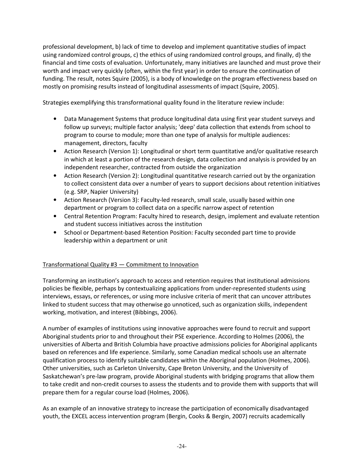professional development, b) lack of time to develop and implement quantitative studies of impact using randomized control groups, c) the ethics of using randomized control groups, and finally, d) the financial and time costs of evaluation. Unfortunately, many initiatives are launched and must prove their worth and impact very quickly (often, within the first year) in order to ensure the continuation of funding. The result, notes Squire (2005), is a body of knowledge on the program effectiveness based on mostly on promising results instead of longitudinal assessments of impact (Squire, 2005).

Strategies exemplifying this transformational quality found in the literature review include:

- Data Management Systems that produce longitudinal data using first year student surveys and follow up surveys; multiple factor analysis; 'deep' data collection that extends from school to program to course to module; more than one type of analysis for multiple audiences: management, directors, faculty
- Action Research (Version 1): Longitudinal or short term quantitative and/or qualitative research in which at least a portion of the research design, data collection and analysis is provided by an independent researcher, contracted from outside the organization
- Action Research (Version 2): Longitudinal quantitative research carried out by the organization to collect consistent data over a number of years to support decisions about retention initiatives (e.g. SRP, Napier University)
- Action Research (Version 3): Faculty-led research, small scale, usually based within one department or program to collect data on a specific narrow aspect of retention
- Central Retention Program: Faculty hired to research, design, implement and evaluate retention and student success initiatives across the institution
- School or Department-based Retention Position: Faculty seconded part time to provide leadership within a department or unit

### Transformational Quality #3 — Commitment to Innovation

Transforming an institution's approach to access and retention requires that institutional admissions policies be flexible, perhaps by contextualizing applications from under-represented students using interviews, essays, or references, or using more inclusive criteria of merit that can uncover attributes linked to student success that may otherwise go unnoticed, such as organization skills, independent working, motivation, and interest (Bibbings, 2006).

A number of examples of institutions using innovative approaches were found to recruit and support Aboriginal students prior to and throughout their PSE experience. According to Holmes (2006), the universities of Alberta and British Columbia have proactive admissions policies for Aboriginal applicants based on references and life experience. Similarly, some Canadian medical schools use an alternate qualification process to identify suitable candidates within the Aboriginal population (Holmes, 2006). Other universities, such as Carleton University, Cape Breton University, and the University of Saskatchewan's pre-law program, provide Aboriginal students with bridging programs that allow them to take credit and non-credit courses to assess the students and to provide them with supports that will prepare them for a regular course load (Holmes, 2006).

As an example of an innovative strategy to increase the participation of economically disadvantaged youth, the EXCEL access intervention program (Bergin, Cooks & Bergin, 2007) recruits academically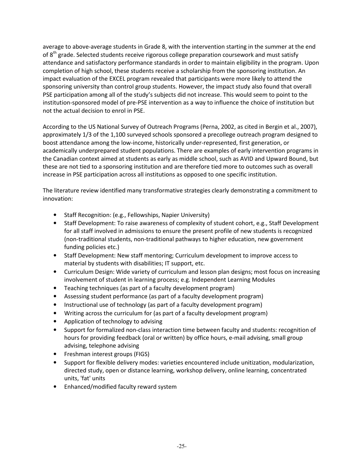average to above-average students in Grade 8, with the intervention starting in the summer at the end of 8<sup>th</sup> grade. Selected students receive rigorous college preparation coursework and must satisfy attendance and satisfactory performance standards in order to maintain eligibility in the program. Upon completion of high school, these students receive a scholarship from the sponsoring institution. An impact evaluation of the EXCEL program revealed that participants were more likely to attend the sponsoring university than control group students. However, the impact study also found that overall PSE participation among all of the study's subjects did not increase. This would seem to point to the institution-sponsored model of pre-PSE intervention as a way to influence the choice of institution but not the actual decision to enrol in PSE.

According to the US National Survey of Outreach Programs (Perna, 2002, as cited in Bergin et al., 2007), approximately 1/3 of the 1,100 surveyed schools sponsored a precollege outreach program designed to boost attendance among the low-income, historically under-represented, first generation, or academically underprepared student populations. There are examples of early intervention programs in the Canadian context aimed at students as early as middle school, such as AVID and Upward Bound, but these are not tied to a sponsoring institution and are therefore tied more to outcomes such as overall increase in PSE participation across all institutions as opposed to one specific institution.

The literature review identified many transformative strategies clearly demonstrating a commitment to innovation:

- Staff Recognition: (e.g., Fellowships, Napier University)
- Staff Development: To raise awareness of complexity of student cohort, e.g., Staff Development for all staff involved in admissions to ensure the present profile of new students is recognized (non-traditional students, non-traditional pathways to higher education, new government funding policies etc.)
- Staff Development: New staff mentoring; Curriculum development to improve access to material by students with disabilities; IT support, etc.
- Curriculum Design: Wide variety of curriculum and lesson plan designs; most focus on increasing involvement of student in learning process; e.g. Independent Learning Modules
- Teaching techniques (as part of a faculty development program)
- Assessing student performance (as part of a faculty development program)
- Instructional use of technology (as part of a faculty development program)
- Writing across the curriculum for (as part of a faculty development program)
- Application of technology to advising
- Support for formalized non-class interaction time between faculty and students: recognition of hours for providing feedback (oral or written) by office hours, e-mail advising, small group advising, telephone advising
- Freshman interest groups (FIGS)
- Support for flexible delivery modes: varieties encountered include unitization, modularization, directed study, open or distance learning, workshop delivery, online learning, concentrated units, 'fat' units
- Enhanced/modified faculty reward system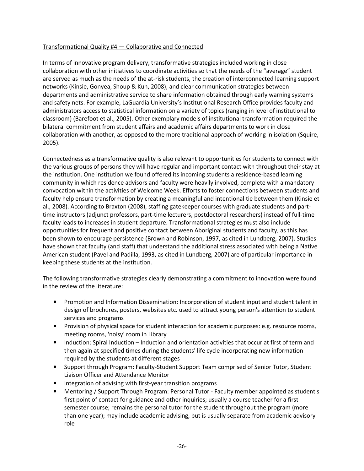### Transformational Quality #4 — Collaborative and Connected

In terms of innovative program delivery, transformative strategies included working in close collaboration with other initiatives to coordinate activities so that the needs of the "average" student are served as much as the needs of the at-risk students, the creation of interconnected learning support networks (Kinsie, Gonyea, Shoup & Kuh, 2008), and clear communication strategies between departments and administrative service to share information obtained through early warning systems and safety nets. For example, LaGuardia University's Institutional Research Office provides faculty and administrators access to statistical information on a variety of topics (ranging in level of institutional to classroom) (Barefoot et al., 2005). Other exemplary models of institutional transformation required the bilateral commitment from student affairs and academic affairs departments to work in close collaboration with another, as opposed to the more traditional approach of working in isolation (Squire, 2005).

Connectedness as a transformative quality is also relevant to opportunities for students to connect with the various groups of persons they will have regular and important contact with throughout their stay at the institution. One institution we found offered its incoming students a residence-based learning community in which residence advisors and faculty were heavily involved, complete with a mandatory convocation within the activities of Welcome Week. Efforts to foster connections between students and faculty help ensure transformation by creating a meaningful and intentional tie between them (Kinsie et al., 2008). According to Braxton (2008), staffing gatekeeper courses with graduate students and parttime instructors (adjunct professors, part-time lecturers, postdoctoral researchers) instead of full-time faculty leads to increases in student departure. Transformational strategies must also include opportunities for frequent and positive contact between Aboriginal students and faculty, as this has been shown to encourage persistence (Brown and Robinson, 1997, as cited in Lundberg, 2007). Studies have shown that faculty (and staff) that understand the additional stress associated with being a Native American student (Pavel and Padilla, 1993, as cited in Lundberg, 2007) are of particular importance in keeping these students at the institution.

The following transformative strategies clearly demonstrating a commitment to innovation were found in the review of the literature:

- Promotion and Information Dissemination: Incorporation of student input and student talent in design of brochures, posters, websites etc. used to attract young person's attention to student services and programs
- Provision of physical space for student interaction for academic purposes: e.g. resource rooms, meeting rooms, 'noisy' room in Library
- Induction: Spiral Induction Induction and orientation activities that occur at first of term and then again at specified times during the students' life cycle incorporating new information required by the students at different stages
- Support through Program: Faculty-Student Support Team comprised of Senior Tutor, Student Liaison Officer and Attendance Monitor
- Integration of advising with first-year transition programs
- Mentoring / Support Through Program: Personal Tutor Faculty member appointed as student's first point of contact for guidance and other inquiries; usually a course teacher for a first semester course; remains the personal tutor for the student throughout the program (more than one year); may include academic advising, but is usually separate from academic advisory role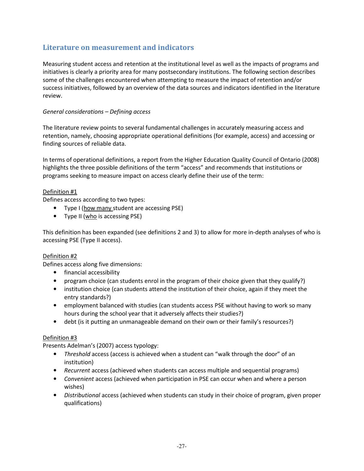# Literature on measurement and indicators

Measuring student access and retention at the institutional level as well as the impacts of programs and initiatives is clearly a priority area for many postsecondary institutions. The following section describes some of the challenges encountered when attempting to measure the impact of retention and/or success initiatives, followed by an overview of the data sources and indicators identified in the literature review.

### General considerations – Defining access

The literature review points to several fundamental challenges in accurately measuring access and retention, namely, choosing appropriate operational definitions (for example, access) and accessing or finding sources of reliable data.

In terms of operational definitions, a report from the Higher Education Quality Council of Ontario (2008) highlights the three possible definitions of the term "access" and recommends that institutions or programs seeking to measure impact on access clearly define their use of the term:

### Definition #1

Defines access according to two types:

- Type I (how many student are accessing PSE)
- Type II (who is accessing PSE)

This definition has been expanded (see definitions 2 and 3) to allow for more in-depth analyses of who is accessing PSE (Type II access).

### Definition #2

Defines access along five dimensions:

- financial accessibility
- program choice (can students enrol in the program of their choice given that they qualify?)
- institution choice (can students attend the institution of their choice, again if they meet the entry standards?)
- employment balanced with studies (can students access PSE without having to work so many hours during the school year that it adversely affects their studies?)
- debt (is it putting an unmanageable demand on their own or their family's resources?)

### Definition #3

Presents Adelman's (2007) access typology:

- Threshold access (access is achieved when a student can "walk through the door" of an institution)
- Recurrent access (achieved when students can access multiple and sequential programs)
- Convenient access (achieved when participation in PSE can occur when and where a person wishes)
- Distributional access (achieved when students can study in their choice of program, given proper qualifications)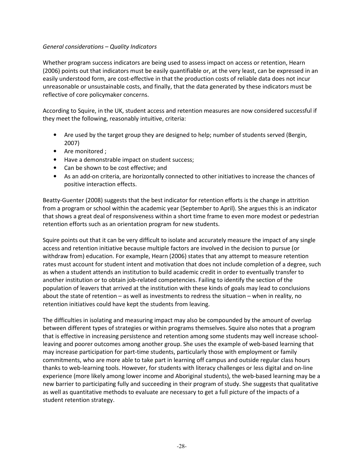### General considerations – Quality Indicators

Whether program success indicators are being used to assess impact on access or retention, Hearn (2006) points out that indicators must be easily quantifiable or, at the very least, can be expressed in an easily understood form, are cost-effective in that the production costs of reliable data does not incur unreasonable or unsustainable costs, and finally, that the data generated by these indicators must be reflective of core policymaker concerns.

According to Squire, in the UK, student access and retention measures are now considered successful if they meet the following, reasonably intuitive, criteria:

- Are used by the target group they are designed to help; number of students served (Bergin, 2007)
- Are monitored ;
- Have a demonstrable impact on student success;
- Can be shown to be cost effective; and
- As an add-on criteria, are horizontally connected to other initiatives to increase the chances of positive interaction effects.

Beatty-Guenter (2008) suggests that the best indicator for retention efforts is the change in attrition from a program or school within the academic year (September to April). She argues this is an indicator that shows a great deal of responsiveness within a short time frame to even more modest or pedestrian retention efforts such as an orientation program for new students.

Squire points out that it can be very difficult to isolate and accurately measure the impact of any single access and retention initiative because multiple factors are involved in the decision to pursue (or withdraw from) education. For example, Hearn (2006) states that any attempt to measure retention rates must account for student intent and motivation that does not include completion of a degree, such as when a student attends an institution to build academic credit in order to eventually transfer to another institution or to obtain job-related competencies. Failing to identify the section of the population of leavers that arrived at the institution with these kinds of goals may lead to conclusions about the state of retention – as well as investments to redress the situation – when in reality, no retention initiatives could have kept the students from leaving.

The difficulties in isolating and measuring impact may also be compounded by the amount of overlap between different types of strategies or within programs themselves. Squire also notes that a program that is effective in increasing persistence and retention among some students may well increase schoolleaving and poorer outcomes among another group. She uses the example of web-based learning that may increase participation for part-time students, particularly those with employment or family commitments, who are more able to take part in learning off campus and outside regular class hours thanks to web-learning tools. However, for students with literacy challenges or less digital and on-line experience (more likely among lower income and Aboriginal students), the web-based learning may be a new barrier to participating fully and succeeding in their program of study. She suggests that qualitative as well as quantitative methods to evaluate are necessary to get a full picture of the impacts of a student retention strategy.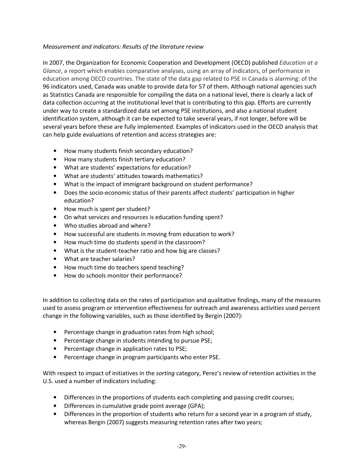### Measurement and indicators: Results of the literature review

In 2007, the Organization for Economic Cooperation and Development (OECD) published Education at  $a$ Glance, a report which enables comparative analyses, using an array of indicators, of performance in education among OECD countries. The state of the data gap related to PSE in Canada is alarming: of the 96 indicators used, Canada was unable to provide data for 57 of them. Although national agencies such as Statistics Canada are responsible for compiling the data on a national level, there is clearly a lack of data collection occurring at the institutional level that is contributing to this gap. Efforts are currently under way to create a standardized data set among PSE institutions, and also a national student identification system, although it can be expected to take several years, if not longer, before will be several years before these are fully implemented. Examples of indicators used in the OECD analysis that can help guide evaluations of retention and access strategies are:

- How many students finish secondary education?
- How many students finish tertiary education?
- What are students' expectations for education?
- What are students' attitudes towards mathematics?
- What is the impact of immigrant background on student performance?
- Does the socio-economic status of their parents affect students' participation in higher education?
- How much is spent per student?
- On what services and resources is education funding spent?
- Who studies abroad and where?
- How successful are students in moving from education to work?
- How much time do students spend in the classroom?
- What is the student-teacher ratio and how big are classes?
- What are teacher salaries?
- How much time do teachers spend teaching?
- How do schools monitor their performance?

In addition to collecting data on the rates of participation and qualitative findings, many of the measures used to assess program or intervention effectiveness for outreach and awareness activities used percent change in the following variables, such as those identified by Bergin (2007):

- Percentage change in graduation rates from high school;
- Percentage change in students intending to pursue PSE;
- Percentage change in application rates to PSE;
- Percentage change in program participants who enter PSE.

With respect to impact of initiatives in the *sorting* category, Perez's review of retention activities in the U.S. used a number of indicators including:

- Differences in the proportions of students each completing and passing credit courses;
- Differences in cumulative grade point average (GPA);
- Differences in the proportion of students who return for a second year in a program of study, whereas Bergin (2007) suggests measuring retention rates after two years;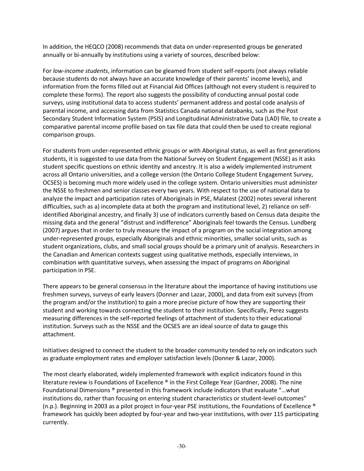In addition, the HEQCO (2008) recommends that data on under-represented groups be generated annually or bi-annually by institutions using a variety of sources, described below:

For low-income students, information can be gleamed from student self-reports (not always reliable because students do not always have an accurate knowledge of their parents' income levels), and information from the forms filled out at Financial Aid Offices (although not every student is required to complete these forms). The report also suggests the possibility of conducting annual postal code surveys, using institutional data to access students' permanent address and postal code analysis of parental income, and accessing data from Statistics Canada national databanks, such as the Post Secondary Student Information System (PSIS) and Longitudinal Administrative Data (LAD) file, to create a comparative parental income profile based on tax file data that could then be used to create regional comparison groups.

For students from under-represented ethnic groups or with Aboriginal status, as well as first generations students, it is suggested to use data from the National Survey on Student Engagement (NSSE) as it asks student specific questions on ethnic identity and ancestry. It is also a widely implemented instrument across all Ontario universities, and a college version (the Ontario College Student Engagement Survey, OCSES) is becoming much more widely used in the college system. Ontario universities must administer the NSSE to freshmen and senior classes every two years. With respect to the use of national data to analyze the impact and participation rates of Aboriginals in PSE, Malatest (2002) notes several inherent difficulties, such as a) incomplete data at both the program and institutional level, 2) reliance on selfidentified Aboriginal ancestry, and finally 3) use of indicators currently based on Census data despite the missing data and the general "distrust and indifference" Aboriginals feel towards the Census. Lundberg (2007) argues that in order to truly measure the impact of a program on the social integration among under-represented groups, especially Aboriginals and ethnic minorities, smaller social units, such as student organizations, clubs, and small social groups should be a primary unit of analysis. Researchers in the Canadian and American contexts suggest using qualitative methods, especially interviews, in combination with quantitative surveys, when assessing the impact of programs on Aboriginal participation in PSE.

There appears to be general consensus in the literature about the importance of having institutions use freshmen surveys, surveys of early leavers (Donner and Lazar, 2000), and data from exit surveys (from the program and/or the institution) to gain a more precise picture of how they are supporting their student and working towards connecting the student to their institution. Specifically, Perez suggests measuring differences in the self-reported feelings of attachment of students to their educational institution. Surveys such as the NSSE and the OCSES are an ideal source of data to gauge this attachment.

Initiatives designed to connect the student to the broader community tended to rely on indicators such as graduate employment rates and employer satisfaction levels (Donner & Lazar, 2000).

The most clearly elaborated, widely implemented framework with explicit indicators found in this literature review is Foundations of Excellence ® in the First College Year (Gardner, 2008). The nine Foundational Dimensions ® presented in this framework include indicators that evaluate "…what institutions do, rather than focusing on entering student characteristics or student-level outcomes" (n.p.). Beginning in 2003 as a pilot project in four-year PSE institutions, the Foundations of Excellence ® framework has quickly been adopted by four-year and two-year institutions, with over 115 participating currently.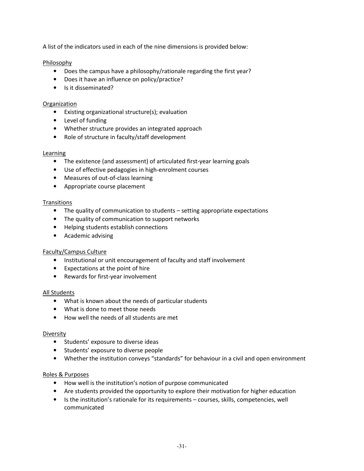A list of the indicators used in each of the nine dimensions is provided below:

Philosophy

- Does the campus have a philosophy/rationale regarding the first year?
- Does it have an influence on policy/practice?
- Is it disseminated?

### **Organization**

- Existing organizational structure(s); evaluation
- Level of funding
- Whether structure provides an integrated approach
- Role of structure in faculty/staff development

#### **Learning**

- The existence (and assessment) of articulated first-year learning goals
- Use of effective pedagogies in high-enrolment courses
- Measures of out-of-class learning
- Appropriate course placement

### **Transitions**

- The quality of communication to students setting appropriate expectations
- The quality of communication to support networks
- Helping students establish connections
- Academic advising

### Faculty/Campus Culture

- Institutional or unit encouragement of faculty and staff involvement
- Expectations at the point of hire
- Rewards for first-year involvement

### All Students

- What is known about the needs of particular students
- What is done to meet those needs
- How well the needs of all students are met

#### Diversity

- Students' exposure to diverse ideas
- Students' exposure to diverse people
- Whether the institution conveys "standards" for behaviour in a civil and open environment

### Roles & Purposes

- How well is the institution's notion of purpose communicated
- Are students provided the opportunity to explore their motivation for higher education
- Is the institution's rationale for its requirements courses, skills, competencies, well communicated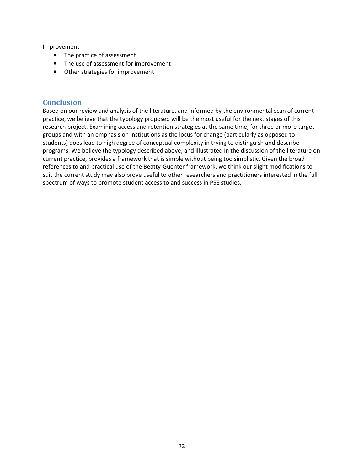#### **Improvement**

- The practice of assessment
- The use of assessment for improvement
- Other strategies for improvement

### **Conclusion**

Based on our review and analysis of the literature, and informed by the environmental scan of current practice, we believe that the typology proposed will be the most useful for the next stages of this research project. Examining access and retention strategies at the same time, for three or more target groups and with an emphasis on institutions as the locus for change (particularly as opposed to students) does lead to high degree of conceptual complexity in trying to distinguish and describe programs. We believe the typology described above, and illustrated in the discussion of the literature on current practice, provides a framework that is simple without being too simplistic. Given the broad references to and practical use of the Beatty-Guenter framework, we think our slight modifications to suit the current study may also prove useful to other researchers and practitioners interested in the full spectrum of ways to promote student access to and success in PSE studies.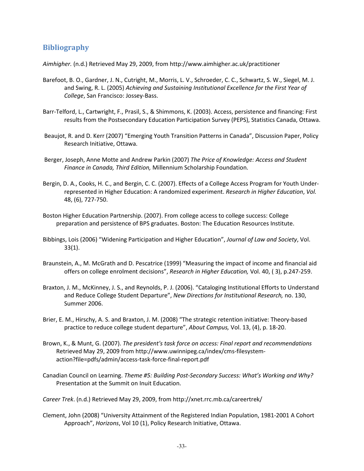## **Bibliography**

Aimhigher. (n.d.) Retrieved May 29, 2009, from http://www.aimhigher.ac.uk/practitioner

- Barefoot, B. O., Gardner, J. N., Cutright, M., Morris, L. V., Schroeder, C. C., Schwartz, S. W., Siegel, M. J. and Swing, R. L. (2005) Achieving and Sustaining Institutional Excellence for the First Year of College, San Francisco: Jossey-Bass.
- Barr-Telford, L., Cartwright, F., Prasil, S., & Shimmons, K. (2003). Access, persistence and financing: First results from the Postsecondary Education Participation Survey (PEPS), Statistics Canada, Ottawa.
- Beaujot, R. and D. Kerr (2007) "Emerging Youth Transition Patterns in Canada", Discussion Paper, Policy Research Initiative, Ottawa.
- Berger, Joseph, Anne Motte and Andrew Parkin (2007) The Price of Knowledge: Access and Student Finance in Canada, Third Edition, Millennium Scholarship Foundation.
- Bergin, D. A., Cooks, H. C., and Bergin, C. C. (2007). Effects of a College Access Program for Youth Underrepresented in Higher Education: A randomized experiment. Research in Higher Education, Vol. 48, (6), 727-750.
- Boston Higher Education Partnership. (2007). From college access to college success: College preparation and persistence of BPS graduates. Boston: The Education Resources Institute.
- Bibbings, Lois (2006) "Widening Participation and Higher Education", Journal of Law and Society, Vol. 33(1).
- Braunstein, A., M. McGrath and D. Pescatrice (1999) "Measuring the impact of income and financial aid offers on college enrolment decisions", Research in Higher Education, Vol. 40, ( 3), p.247-259.
- Braxton, J. M., McKinney, J. S., and Reynolds, P. J. (2006). "Cataloging Institutional Efforts to Understand and Reduce College Student Departure", New Directions for Institutional Research, no. 130, Summer 2006.
- Brier, E. M., Hirschy, A. S. and Braxton, J. M. (2008) "The strategic retention initiative: Theory-based practice to reduce college student departure", About Campus, Vol. 13, (4), p. 18-20.
- Brown, K., & Munt, G. (2007). The president's task force on access: Final report and recommendations Retrieved May 29, 2009 from http://www.uwinnipeg.ca/index/cms-filesystemaction?file=pdfs/admin/access-task-force-final-report.pdf
- Canadian Council on Learning. Theme #5: Building Post-Secondary Success: What's Working and Why? Presentation at the Summit on Inuit Education.

Career Trek. (n.d.) Retrieved May 29, 2009, from http://xnet.rrc.mb.ca/careertrek/

Clement, John (2008) "University Attainment of the Registered Indian Population, 1981-2001 A Cohort Approach", Horizons, Vol 10 (1), Policy Research Initiative, Ottawa.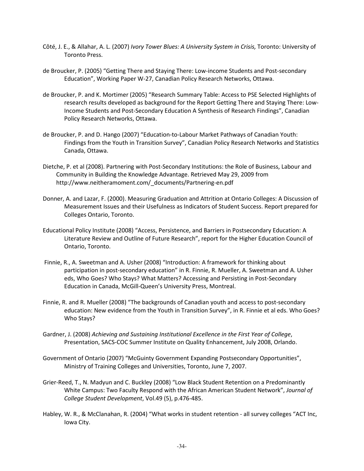- Côté, J. E., & Allahar, A. L. (2007) Ivory Tower Blues: A University System in Crisis, Toronto: University of Toronto Press.
- de Broucker, P. (2005) "Getting There and Staying There: Low-income Students and Post-secondary Education", Working Paper W-27, Canadian Policy Research Networks, Ottawa.
- de Broucker, P. and K. Mortimer (2005) "Research Summary Table: Access to PSE Selected Highlights of research results developed as background for the Report Getting There and Staying There: Low-Income Students and Post-Secondary Education A Synthesis of Research Findings", Canadian Policy Research Networks, Ottawa.
- de Broucker, P. and D. Hango (2007) "Education-to-Labour Market Pathways of Canadian Youth: Findings from the Youth in Transition Survey", Canadian Policy Research Networks and Statistics Canada, Ottawa.
- Dietche, P. et al (2008). Partnering with Post-Secondary Institutions: the Role of Business, Labour and Community in Building the Knowledge Advantage. Retrieved May 29, 2009 from http://www.neitheramoment.com/\_documents/Partnering-en.pdf
- Donner, A. and Lazar, F. (2000). Measuring Graduation and Attrition at Ontario Colleges: A Discussion of Measurement Issues and their Usefulness as Indicators of Student Success. Report prepared for Colleges Ontario, Toronto.
- Educational Policy Institute (2008) "Access, Persistence, and Barriers in Postsecondary Education: A Literature Review and Outline of Future Research", report for the Higher Education Council of Ontario, Toronto.
- Finnie, R., A. Sweetman and A. Usher (2008) "Introduction: A framework for thinking about participation in post-secondary education" in R. Finnie, R. Mueller, A. Sweetman and A. Usher eds, Who Goes? Who Stays? What Matters? Accessing and Persisting in Post-Secondary Education in Canada, McGill-Queen's University Press, Montreal.
- Finnie, R. and R. Mueller (2008) "The backgrounds of Canadian youth and access to post-secondary education: New evidence from the Youth in Transition Survey", in R. Finnie et al eds. Who Goes? Who Stays?
- Gardner, J. (2008) Achieving and Sustaining Institutional Excellence in the First Year of College, Presentation, SACS-COC Summer Institute on Quality Enhancement, July 2008, Orlando.
- Government of Ontario (2007) "McGuinty Government Expanding Postsecondary Opportunities", Ministry of Training Colleges and Universities, Toronto, June 7, 2007.
- Grier-Reed, T., N. Madyun and C. Buckley (2008) "Low Black Student Retention on a Predominantly White Campus: Two Faculty Respond with the African American Student Network", Journal of College Student Development, Vol.49 (5), p.476-485.
- Habley, W. R., & McClanahan, R. (2004) "What works in student retention all survey colleges "ACT Inc, Iowa City.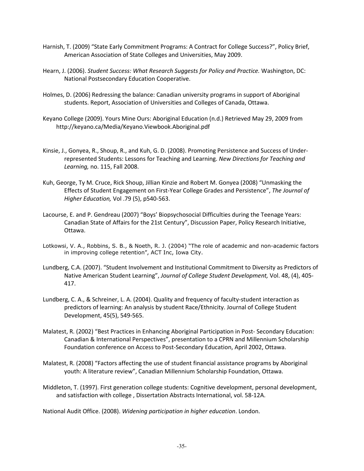- Harnish, T. (2009) "State Early Commitment Programs: A Contract for College Success?", Policy Brief, American Association of State Colleges and Universities, May 2009.
- Hearn, J. (2006). Student Success: What Research Suggests for Policy and Practice. Washington, DC: National Postsecondary Education Cooperative.
- Holmes, D. (2006) Redressing the balance: Canadian university programs in support of Aboriginal students. Report, Association of Universities and Colleges of Canada, Ottawa.
- Keyano College (2009). Yours Mine Ours: Aboriginal Education (n.d.) Retrieved May 29, 2009 from http://keyano.ca/Media/Keyano.Viewbook.Aboriginal.pdf
- Kinsie, J., Gonyea, R., Shoup, R., and Kuh, G. D. (2008). Promoting Persistence and Success of Underrepresented Students: Lessons for Teaching and Learning. New Directions for Teaching and Learning, no. 115, Fall 2008.
- Kuh, George, Ty M. Cruce, Rick Shoup, Jillian Kinzie and Robert M. Gonyea (2008) "Unmasking the Effects of Student Engagement on First-Year College Grades and Persistence", The Journal of Higher Education, Vol .79 (5), p540-563.
- Lacourse, E. and P. Gendreau (2007) "Boys' Biopsychosocial Difficulties during the Teenage Years: Canadian State of Affairs for the 21st Century", Discussion Paper, Policy Research Initiative, Ottawa.
- Lotkowsi, V. A., Robbins, S. B., & Noeth, R. J. (2004) "The role of academic and non-academic factors in improving college retention", ACT Inc, Iowa City.
- Lundberg, C.A. (2007). "Student Involvement and Institutional Commitment to Diversity as Predictors of Native American Student Learning", Journal of College Student Development, Vol. 48, (4), 405-417.
- Lundberg, C. A., & Schreiner, L. A. (2004). Quality and frequency of faculty-student interaction as predictors of learning: An analysis by student Race/Ethnicity. Journal of College Student Development, 45(5), 549-565.
- Malatest, R. (2002) "Best Practices in Enhancing Aboriginal Participation in Post- Secondary Education: Canadian & International Perspectives", presentation to a CPRN and Millennium Scholarship Foundation conference on Access to Post-Secondary Education, April 2002, Ottawa.
- Malatest, R. (2008) "Factors affecting the use of student financial assistance programs by Aboriginal youth: A literature review", Canadian Millennium Scholarship Foundation, Ottawa.
- Middleton, T. (1997). First generation college students: Cognitive development, personal development, and satisfaction with college , Dissertation Abstracts International, vol. 58-12A.

National Audit Office. (2008). Widening participation in higher education. London.